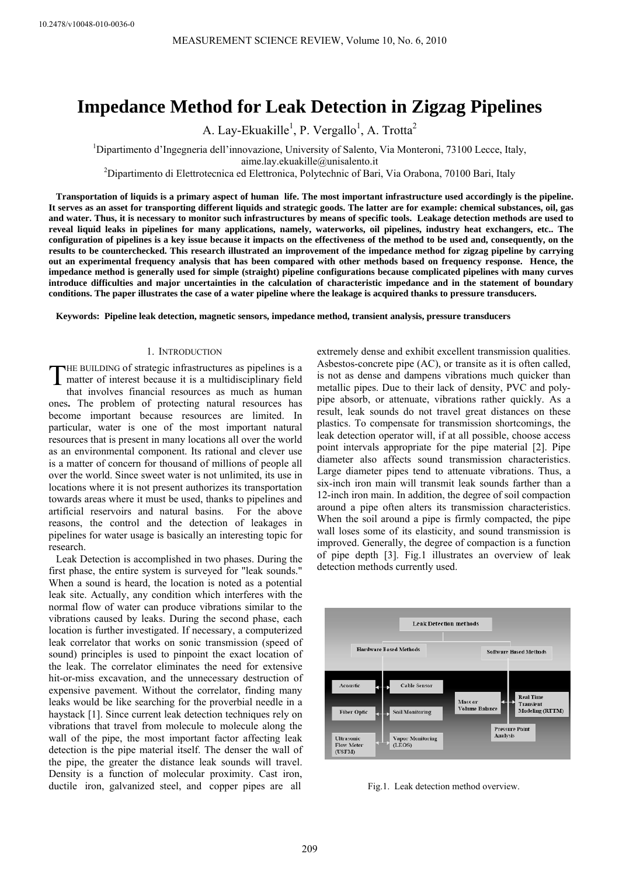# **Impedance Method for Leak Detection in Zigzag Pipelines**

A. Lay-Ekuakille<sup>1</sup>, P. Vergallo<sup>1</sup>, A. Trotta<sup>2</sup>

1 Dipartimento d'Ingegneria dell'innovazione, University of Salento, Via Monteroni, 73100 Lecce, Italy,

aime.lay.ekuakille@unisalento.it<br><sup>2</sup>Dipartimento di Elettrotecnica ed Elettronica, Polytechnic of Bari, Via Orabona, 70100 Bari, Italy

**Transportation of liquids is a primary aspect of human life. The most important infrastructure used accordingly is the pipeline. It serves as an asset for transporting different liquids and strategic goods. The latter are for example: chemical substances, oil, gas and water. Thus, it is necessary to monitor such infrastructures by means of specific tools. Leakage detection methods are used to reveal liquid leaks in pipelines for many applications, namely, waterworks, oil pipelines, industry heat exchangers, etc.. The configuration of pipelines is a key issue because it impacts on the effectiveness of the method to be used and, consequently, on the results to be counterchecked. This research illustrated an improvement of the impedance method for zigzag pipeline by carrying out an experimental frequency analysis that has been compared with other methods based on frequency response. Hence, the impedance method is generally used for simple (straight) pipeline configurations because complicated pipelines with many curves introduce difficulties and major uncertainties in the calculation of characteristic impedance and in the statement of boundary conditions. The paper illustrates the case of a water pipeline where the leakage is acquired thanks to pressure transducers.**

**Keywords: Pipeline leak detection, magnetic sensors, impedance method, transient analysis, pressure transducers** 

#### 1. INTRODUCTION

HE BUILDING of strategic infrastructures as pipelines is a THE BUILDING of strategic infrastructures as pipelines is a multidisciplinary field<br>that involves financial presumes as much as human th at involves financial resources as much as human ones**.** The problem of protecting natural resources has become important because resources are limited. In particular, water is one of the most important natural resources that is present in many locations all over the world as an environmental component. Its rational and clever use is a matter of concern for thousand of millions of people all over the world. Since sweet water is not unlimited, its use in locations where it is not present authorizes its transportation towards areas where it must be used, thanks to pipelines and artificial reservoirs and natural basins. For the above reasons, the control and the detection of leakages in pipelines for water usage is basically an interesting topic for research.

Leak Detection is accomplished in two phases. During the first phase, the entire system is surveyed for "leak sounds." When a sound is heard, the location is noted as a potential leak site. Actually, any condition which interferes with the normal flow of water can produce vibrations similar to the vibrations caused by leaks. During the second phase, each location is further investigated. If necessary, a computerized leak correlator that works on sonic transmission (speed of sound) principles is used to pinpoint the exact location of the leak. The correlator eliminates the need for extensive hit-or-miss excavation, and the unnecessary destruction of expensive pavement. Without the correlator, finding many leaks would be like searching for the proverbial needle in a haystack [1]. Since current leak detection techniques rely on vibrations that travel from molecule to molecule along the wall of the pipe, the most important factor affecting leak detection is the pipe material itself. The denser the wall of the pipe, the greater the distance leak sounds will travel. Density is a function of molecular proximity. Cast iron, ductile iron, galvanized steel, and copper pipes are all

extremely dense and exhibit excellent transmission qualities. Asbestos-concrete pipe (AC), or transite as it is often called, is not as dense and dampens vibrations much quicker than metallic pipes. Due to their lack of density, PVC and polypipe absorb, or attenuate, vibrations rather quickly. As a result, leak sounds do not travel great distances on these plastics. To compensate for transmission shortcomings, the leak detection operator will, if at all possible, choose access point intervals appropriate for the pipe material [2]. Pipe diameter also affects sound transmission characteristics. Large diameter pipes tend to attenuate vibrations. Thus, a six-inch iron main will transmit leak sounds farther than a 12-inch iron main. In addition, the degree of soil compaction around a pipe often alters its transmission characteristics. When the soil around a pipe is firmly compacted, the pipe wall loses some of its elasticity, and sound transmission is improved. Generally, the degree of compaction is a function of pipe depth [3]. Fig.1 illustrates an overview of leak detection methods currently used.



Fig.1. Leak detection method overview.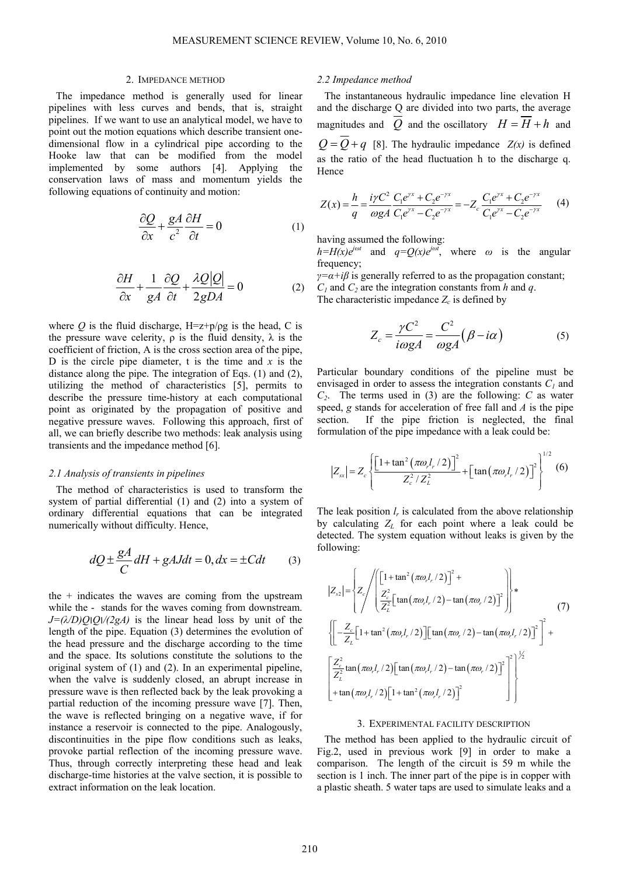#### 2. IMPEDANCE METHOD

The impedance method is generally used for linear pipelines with less curves and bends, that is, straight pipelines. If we want to use an analytical model, we have to point out the motion equations which describe transient onedimensional flow in a cylindrical pipe according to the Hooke law that can be modified from the model implemented by some authors [4]. Applying the conservation laws of mass and momentum yields the following equations of continuity and motion:

$$
\frac{\partial Q}{\partial x} + \frac{gA}{c^2} \frac{\partial H}{\partial t} = 0 \tag{1}
$$

$$
\frac{\partial H}{\partial x} + \frac{1}{gA} \frac{\partial Q}{\partial t} + \frac{\lambda Q|Q|}{2gDA} = 0
$$
 (2)

where *Q* is the fluid discharge,  $H = z + p/\rho g$  is the head, C is the pressure wave celerity,  $\rho$  is the fluid density,  $\lambda$  is the coefficient of friction, A is the cross section area of the pipe, D is the circle pipe diameter, t is the time and *x* is the distance along the pipe. The integration of Eqs. (1) and (2), utilizing the method of characteristics [5], permits to describe the pressure time-history at each computational point as originated by the propagation of positive and negative pressure waves. Following this approach, first of all, we can briefly describe two methods: leak analysis using transients and the impedance method [6].

#### *2.1 Analysis of transients in pipelines*

The method of characteristics is used to transform the system of partial differential (1) and (2) into a system of ordinary differential equations that can be integrated numerically without difficulty. Hence,

$$
dQ \pm \frac{gA}{C} dH + gAJdt = 0, dx = \pm Cdt \qquad (3)
$$

the  $+$  indicates the waves are coming from the upstream while the - stands for the waves coming from downstream.  $J=(\lambda/D)Q(Q)/2gA)$  is the linear head loss by unit of the length of the pipe. Equation (3) determines the evolution of the head pressure and the discharge according to the time and the space. Its solutions constitute the solutions to the original system of (1) and (2). In an experimental pipeline, when the valve is suddenly closed, an abrupt increase in pressure wave is then reflected back by the leak provoking a partial reduction of the incoming pressure wave [7]. Then, the wave is reflected bringing on a negative wave, if for instance a reservoir is connected to the pipe. Analogously, discontinuities in the pipe flow conditions such as leaks, provoke partial reflection of the incoming pressure wave. Thus, through correctly interpreting these head and leak discharge-time histories at the valve section, it is possible to extract information on the leak location.

#### *2.2 Impedance method*

The instantaneous hydraulic impedance line elevation H and the discharge Q are divided into two parts, the average magnitudes and *Q* and the oscillatory  $H = \overline{H} + h$  and  $Q = Q + q$  [8]. The hydraulic impedance *Z(x)* is defined as the ratio of the head fluctuation h to the discharge q. Hence

$$
Z(x) = \frac{h}{q} = \frac{i\gamma C^2}{\omega g A} \frac{C_1 e^{\gamma x} + C_2 e^{-\gamma x}}{C_1 e^{\gamma x} - C_2 e^{-\gamma x}} = -Z_c \frac{C_1 e^{\gamma x} + C_2 e^{-\gamma x}}{C_1 e^{\gamma x} - C_2 e^{-\gamma x}} \tag{4}
$$

having assumed the following:

 $h=H(x)e^{j\omega t}$  and  $q=Q(x)e^{j\omega t}$ , where  $\omega$  is the angular frequency;

 $\gamma = \alpha + i\beta$  is generally referred to as the propagation constant;  $C_1$  and  $C_2$  are the integration constants from *h* and *q*. The characteristic impedance  $Z_c$  is defined by

$$
Z_c = \frac{\gamma C^2}{i\omega g A} = \frac{C^2}{\omega g A} (\beta - i\alpha)
$$
 (5)

Particular boundary conditions of the pipeline must be envisaged in order to assess the integration constants  $C<sub>1</sub>$  and *C2*. The terms used in (3) are the following: *C* as water speed, *g* stands for acceleration of free fall and *A* is the pipe section. If the pipe friction is neglected, the final formulation of the pipe impedance with a leak could be:

$$
|Z_{\rm sx}| = Z_c \left\{ \frac{\left[1 + \tan^2\left(\pi \omega_r l_r / 2\right)\right]^2}{Z_c^2 / Z_L^2} + \left[\tan\left(\pi \omega_r l_r / 2\right)\right]^2 \right\}^{1/2} (6)
$$

The leak position  $l_r$  is calculated from the above relationship by calculating  $Z_L$  for each point where a leak could be detected. The system equation without leaks is given by the following:

$$
|Z_{s2}| = \left\{ Z_c \left\{ \left[ 1 + \tan^2 (\pi \omega_r l_r / 2) \right]^2 + \frac{Z_c^2}{Z_L^2} \left[ \tan (\pi \omega_r l_r / 2) - \tan (\pi \omega_r / 2) \right]^2 \right] \right\} * \qquad (7)
$$
  

$$
\left\{ \left[ -\frac{Z_c}{Z_L} \left[ 1 + \tan^2 (\pi \omega_r l_r / 2) \right] \left[ \tan (\pi \omega_r / 2) - \tan (\pi \omega_r l_r / 2) \right]^2 \right]^2 + \frac{Z_c^2}{Z_L^2} \tan (\pi \omega_r l_r / 2) \left[ \tan (\pi \omega_r l_r / 2) - \tan (\pi \omega_r / 2) \right]^2 \right\}^2 + \tan (\pi \omega_r l_r / 2) \left[ 1 + \tan^2 (\pi \omega_r l_r / 2) \right]^2
$$

### 3. EXPERIMENTAL FACILITY DESCRIPTION

The method has been applied to the hydraulic circuit of Fig.2, used in previous work [9] in order to make a comparison. The length of the circuit is 59 m while the section is 1 inch. The inner part of the pipe is in copper with a plastic sheath. 5 water taps are used to simulate leaks and a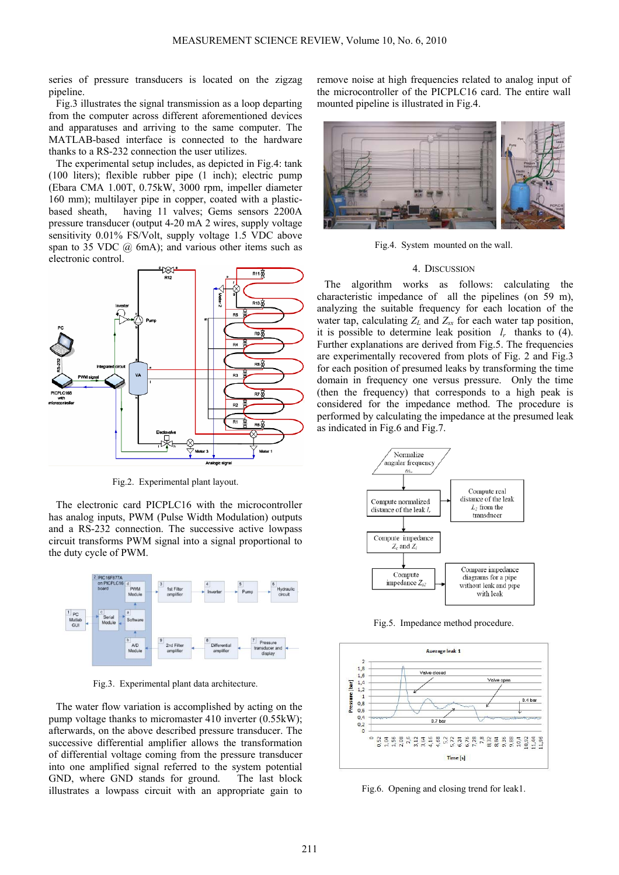series of pressure transducers is located on the zigzag pipeline.

Fig.3 illustrates the signal transmission as a loop departing from the computer across different aforementioned devices and apparatuses and arriving to the same computer. The MATLAB-based interface is connected to the hardware thanks to a RS-232 connection the user utilizes.

The experimental setup includes, as depicted in Fig.4: tank (100 liters); flexible rubber pipe (1 inch); electric pump (Ebara CMA 1.00T, 0.75kW, 3000 rpm, impeller diameter 160 mm); multilayer pipe in copper, coated with a plasticbased sheath, having 11 valves; Gems sensors 2200A pressure transducer (output 4-20 mA 2 wires, supply voltage sensitivity 0.01% FS/Volt, supply voltage 1.5 VDC above span to 35 VDC  $(a)$  6mA); and various other items such as electronic control.



Fig.2. Experimental plant layout.

The electronic card PICPLC16 with the microcontroller has analog inputs, PWM (Pulse Width Modulation) outputs and a RS-232 connection. The successive active lowpass circuit transforms PWM signal into a signal proportional to the duty cycle of PWM.



Fig.3. Experimental plant data architecture.

The water flow variation is accomplished by acting on the pump voltage thanks to micromaster 410 inverter (0.55kW); afterwards, on the above described pressure transducer. The successive differential amplifier allows the transformation of differential voltage coming from the pressure transducer into one amplified signal referred to the system potential GND, where GND stands for ground. The last block illustrates a lowpass circuit with an appropriate gain to

remove noise at high frequencies related to analog input of the microcontroller of the PICPLC16 card. The entire wall mounted pipeline is illustrated in Fig.4.



Fig.4. System mounted on the wall.

## 4. DISCUSSION

The algorithm works as follows: calculating the characteristic impedance of all the pipelines (on 59 m), analyzing the suitable frequency for each location of the water tap, calculating  $Z_L$  and  $Z_{sx}$  for each water tap position, it is possible to determine leak position  $l_r$  thanks to (4). Further explanations are derived from Fig.5. The frequencies are experimentally recovered from plots of Fig. 2 and Fig.3 for each position of presumed leaks by transforming the time domain in frequency one versus pressure. Only the time (then the frequency) that corresponds to a high peak is considered for the impedance method. The procedure is performed by calculating the impedance at the presumed leak as indicated in Fig.6 and Fig.7.



Fig.5. Impedance method procedure.



Fig.6. Opening and closing trend for leak1.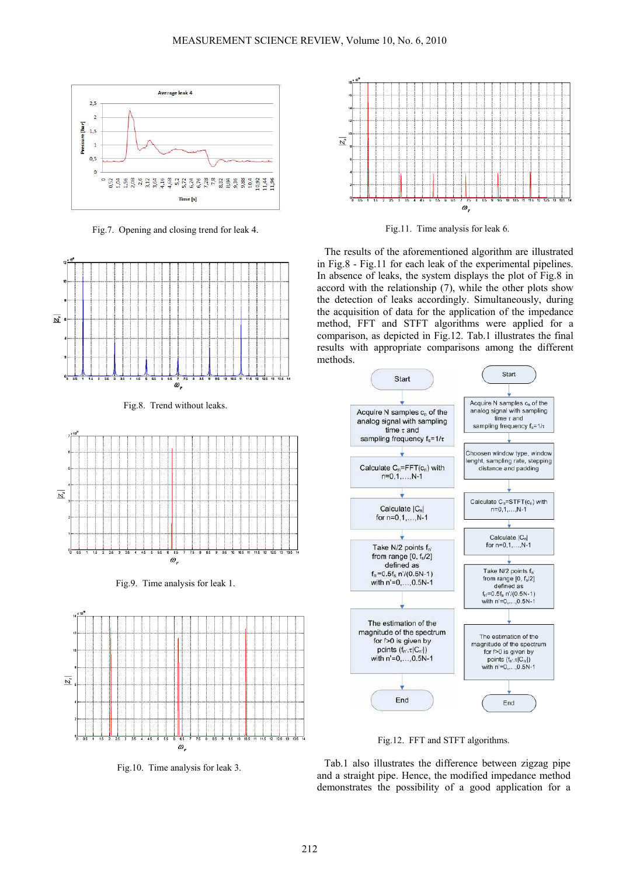

Fig.7. Opening and closing trend for leak 4.



Fig.8. Trend without leaks.



Fig.9. Time analysis for leak 1.



Fig.10. Time analysis for leak 3.



Fig.11. Time analysis for leak 6.

The results of the aforementioned algorithm are illustrated in Fig.8 - Fig.11 for each leak of the experimental pipelines. In absence of leaks, the system displays the plot of Fig.8 in accord with the relationship (7), while the other plots show the detection of leaks accordingly. Simultaneously, during the acquisition of data for the application of the impedance method, FFT and STFT algorithms were applied for a comparison, as depicted in Fig.12. Tab.1 illustrates the final results with appropriate comparisons among the different methods.



Fig.12. FFT and STFT algorithms.

Tab.1 also illustrates the difference between zigzag pipe and a straight pipe. Hence, the modified impedance method demonstrates the possibility of a good application for a